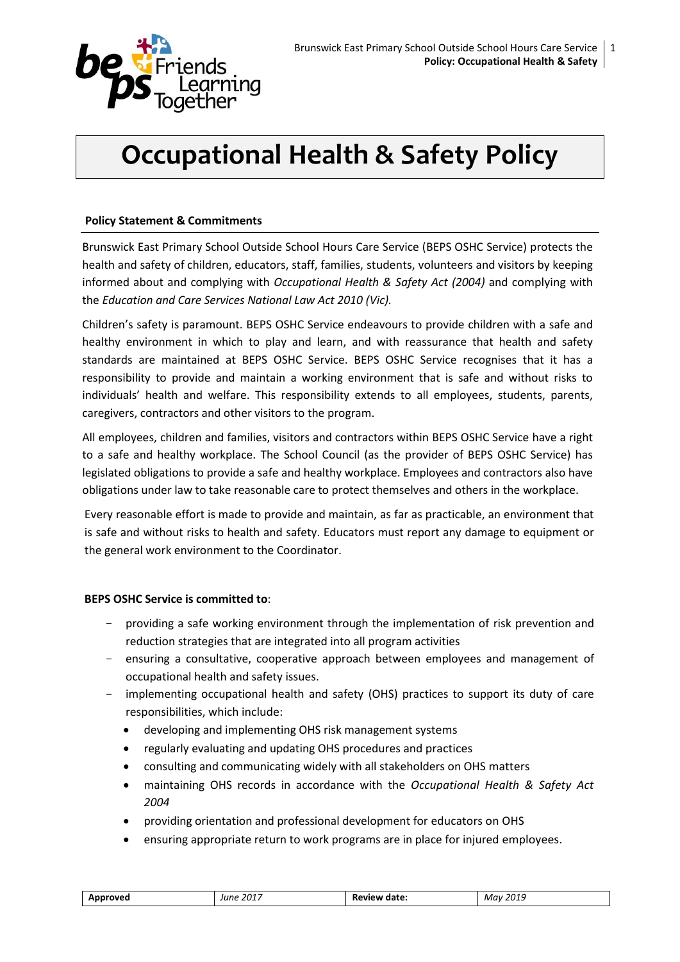

# **Occupational Health & Safety Policy**

## **Policy Statement & Commitments**

Brunswick East Primary School Outside School Hours Care Service (BEPS OSHC Service) protects the health and safety of children, educators, staff, families, students, volunteers and visitors by keeping informed about and complying with *Occupational Health & Safety Act (2004)* and complying with the *Education and Care Services National Law Act 2010 (Vic).*

Children's safety is paramount. BEPS OSHC Service endeavours to provide children with a safe and healthy environment in which to play and learn, and with reassurance that health and safety standards are maintained at BEPS OSHC Service. BEPS OSHC Service recognises that it has a responsibility to provide and maintain a working environment that is safe and without risks to individuals' health and welfare. This responsibility extends to all employees, students, parents, caregivers, contractors and other visitors to the program.

All employees, children and families, visitors and contractors within BEPS OSHC Service have a right to a safe and healthy workplace. The School Council (as the provider of BEPS OSHC Service) has legislated obligations to provide a safe and healthy workplace. Employees and contractors also have obligations under law to take reasonable care to protect themselves and others in the workplace.

Every reasonable effort is made to provide and maintain, as far as practicable, an environment that is safe and without risks to health and safety. Educators must report any damage to equipment or the general work environment to the Coordinator.

## **BEPS OSHC Service is committed to**:

- providing a safe working environment through the implementation of risk prevention and reduction strategies that are integrated into all program activities
- ensuring a consultative, cooperative approach between employees and management of occupational health and safety issues.
- implementing occupational health and safety (OHS) practices to support its duty of care responsibilities, which include:
	- developing and implementing OHS risk management systems
	- regularly evaluating and updating OHS procedures and practices
	- consulting and communicating widely with all stakeholders on OHS matters
	- maintaining OHS records in accordance with the *Occupational Health & Safety Act 2004*
	- providing orientation and professional development for educators on OHS
	- ensuring appropriate return to work programs are in place for injured employees.

| Approved | , 2017<br>June<br>_____ | <b>Review date:</b> | 2019<br>Mav<br>$ -$ |
|----------|-------------------------|---------------------|---------------------|
|----------|-------------------------|---------------------|---------------------|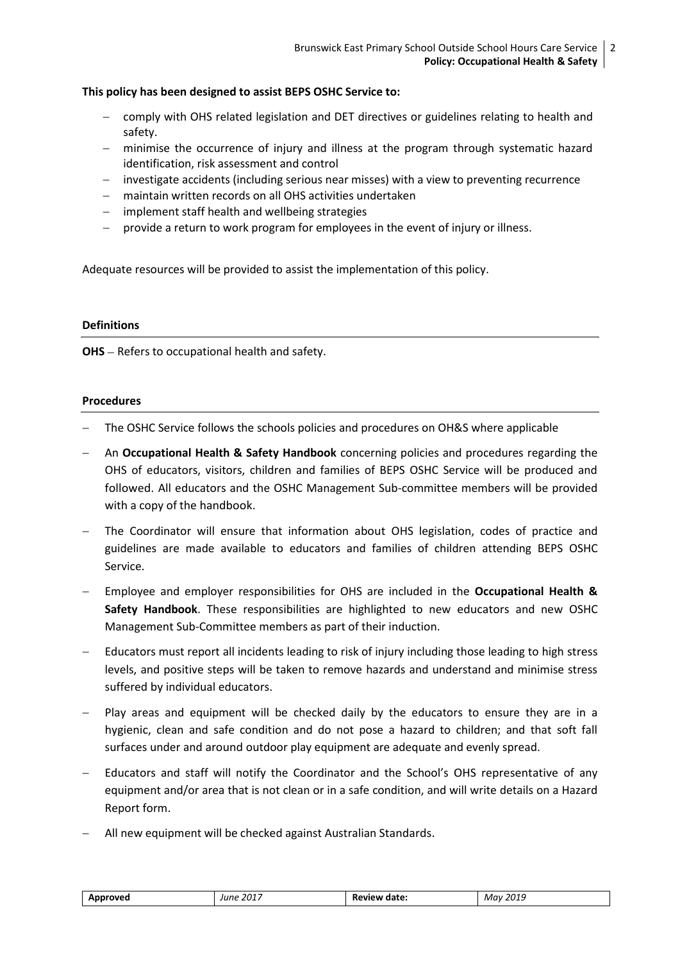## **This policy has been designed to assist BEPS OSHC Service to:**

- comply with OHS related legislation and DET directives or guidelines relating to health and safety.
- minimise the occurrence of injury and illness at the program through systematic hazard identification, risk assessment and control
- investigate accidents (including serious near misses) with a view to preventing recurrence
- maintain written records on all OHS activities undertaken
- $-$  implement staff health and wellbeing strategies
- provide a return to work program for employees in the event of injury or illness.

Adequate resources will be provided to assist the implementation of this policy.

#### **Definitions**

**OHS** – Refers to occupational health and safety.

## **Procedures**

- The OSHC Service follows the schools policies and procedures on OH&S where applicable
- An **Occupational Health & Safety Handbook** concerning policies and procedures regarding the OHS of educators, visitors, children and families of BEPS OSHC Service will be produced and followed. All educators and the OSHC Management Sub-committee members will be provided with a copy of the handbook.
- The Coordinator will ensure that information about OHS legislation, codes of practice and guidelines are made available to educators and families of children attending BEPS OSHC Service.
- Employee and employer responsibilities for OHS are included in the **Occupational Health & Safety Handbook**. These responsibilities are highlighted to new educators and new OSHC Management Sub-Committee members as part of their induction.
- Educators must report all incidents leading to risk of injury including those leading to high stress levels, and positive steps will be taken to remove hazards and understand and minimise stress suffered by individual educators.
- Play areas and equipment will be checked daily by the educators to ensure they are in a hygienic, clean and safe condition and do not pose a hazard to children; and that soft fall surfaces under and around outdoor play equipment are adequate and evenly spread.
- Educators and staff will notify the Coordinator and the School's OHS representative of any equipment and/or area that is not clean or in a safe condition, and will write details on a Hazard Report form.
- All new equipment will be checked against Australian Standards.

| Approved | June 2017 | <b>Review date:</b> | May 2019 |
|----------|-----------|---------------------|----------|
|          |           |                     |          |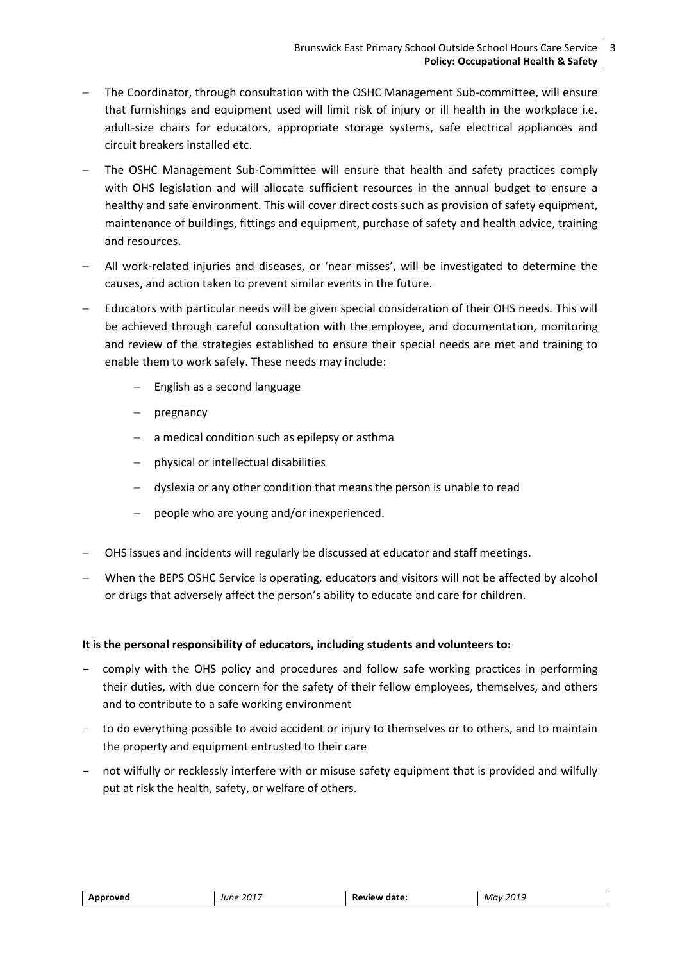- The Coordinator, through consultation with the OSHC Management Sub-committee, will ensure that furnishings and equipment used will limit risk of injury or ill health in the workplace i.e. adult-size chairs for educators, appropriate storage systems, safe electrical appliances and circuit breakers installed etc.
- The OSHC Management Sub-Committee will ensure that health and safety practices comply with OHS legislation and will allocate sufficient resources in the annual budget to ensure a healthy and safe environment. This will cover direct costs such as provision of safety equipment, maintenance of buildings, fittings and equipment, purchase of safety and health advice, training and resources.
- All work-related injuries and diseases, or 'near misses', will be investigated to determine the causes, and action taken to prevent similar events in the future.
- Educators with particular needs will be given special consideration of their OHS needs. This will be achieved through careful consultation with the employee, and documentation, monitoring and review of the strategies established to ensure their special needs are met and training to enable them to work safely. These needs may include:
	- $-$  English as a second language
	- pregnancy
	- a medical condition such as epilepsy or asthma
	- physical or intellectual disabilities
	- dyslexia or any other condition that means the person is unable to read
	- people who are young and/or inexperienced.
- OHS issues and incidents will regularly be discussed at educator and staff meetings.
- When the BEPS OSHC Service is operating, educators and visitors will not be affected by alcohol or drugs that adversely affect the person's ability to educate and care for children.

# **It is the personal responsibility of educators, including students and volunteers to:**

- comply with the OHS policy and procedures and follow safe working practices in performing their duties, with due concern for the safety of their fellow employees, themselves, and others and to contribute to a safe working environment
- to do everything possible to avoid accident or injury to themselves or to others, and to maintain the property and equipment entrusted to their care
- not wilfully or recklessly interfere with or misuse safety equipment that is provided and wilfully put at risk the health, safety, or welfare of others.

| "OVPL.<br><u>т</u> | . 2017<br>Iune<br>. | date:<br>в. | 201C<br>Mav<br>־־־∩7 י…<br>___ |
|--------------------|---------------------|-------------|--------------------------------|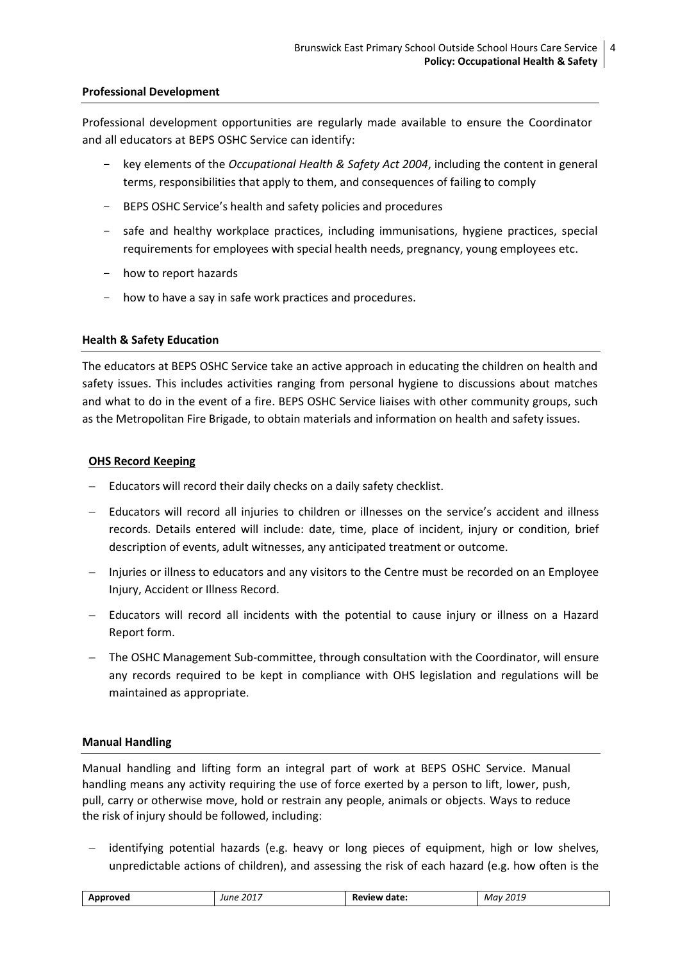## **Professional Development**

Professional development opportunities are regularly made available to ensure the Coordinator and all educators at BEPS OSHC Service can identify:

- key elements of the *Occupational Health & Safety Act 2004*, including the content in general terms, responsibilities that apply to them, and consequences of failing to comply
- BEPS OSHC Service's health and safety policies and procedures
- safe and healthy workplace practices, including immunisations, hygiene practices, special requirements for employees with special health needs, pregnancy, young employees etc.
- how to report hazards
- how to have a say in safe work practices and procedures.

## **Health & Safety Education**

The educators at BEPS OSHC Service take an active approach in educating the children on health and safety issues. This includes activities ranging from personal hygiene to discussions about matches and what to do in the event of a fire. BEPS OSHC Service liaises with other community groups, such as the Metropolitan Fire Brigade, to obtain materials and information on health and safety issues.

## **OHS Record Keeping**

- Educators will record their daily checks on a daily safety checklist.
- Educators will record all injuries to children or illnesses on the service's accident and illness records. Details entered will include: date, time, place of incident, injury or condition, brief description of events, adult witnesses, any anticipated treatment or outcome.
- Injuries or illness to educators and any visitors to the Centre must be recorded on an Employee Injury, Accident or Illness Record.
- Educators will record all incidents with the potential to cause injury or illness on a Hazard Report form.
- The OSHC Management Sub-committee, through consultation with the Coordinator, will ensure any records required to be kept in compliance with OHS legislation and regulations will be maintained as appropriate.

## **Manual Handling**

Manual handling and lifting form an integral part of work at BEPS OSHC Service. Manual handling means any activity requiring the use of force exerted by a person to lift, lower, push, pull, carry or otherwise move, hold or restrain any people, animals or objects. Ways to reduce the risk of injury should be followed, including:

 identifying potential hazards (e.g. heavy or long pieces of equipment, high or low shelves, unpredictable actions of children), and assessing the risk of each hazard (e.g. how often is the

| Δn | 2017<br>lııne<br>. | <br>. | 201C<br>May<br>70 L<br>---- |
|----|--------------------|-------|-----------------------------|
|----|--------------------|-------|-----------------------------|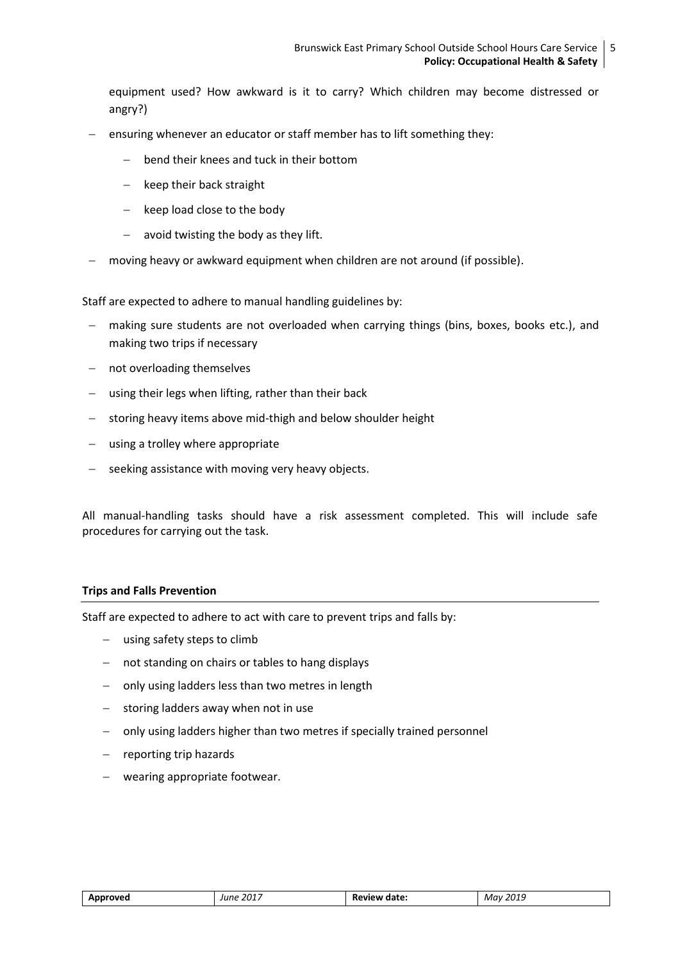equipment used? How awkward is it to carry? Which children may become distressed or angry?)

- ensuring whenever an educator or staff member has to lift something they:
	- bend their knees and tuck in their bottom
	- $-$  keep their back straight
	- keep load close to the body
	- $-$  avoid twisting the body as they lift.
- moving heavy or awkward equipment when children are not around (if possible).

Staff are expected to adhere to manual handling guidelines by:

- making sure students are not overloaded when carrying things (bins, boxes, books etc.), and making two trips if necessary
- not overloading themselves
- $-$  using their legs when lifting, rather than their back
- storing heavy items above mid-thigh and below shoulder height
- using a trolley where appropriate
- seeking assistance with moving very heavy objects.

All manual-handling tasks should have a risk assessment completed. This will include safe procedures for carrying out the task.

## **Trips and Falls Prevention**

Staff are expected to adhere to act with care to prevent trips and falls by:

- using safety steps to climb
- not standing on chairs or tables to hang displays
- only using ladders less than two metres in length
- $-$  storing ladders away when not in use
- only using ladders higher than two metres if specially trained personnel
- $-$  reporting trip hazards
- wearing appropriate footwear.

| Approved<br>___ | 2017<br>June | eview date:<br>______ | May 2019<br>____ |
|-----------------|--------------|-----------------------|------------------|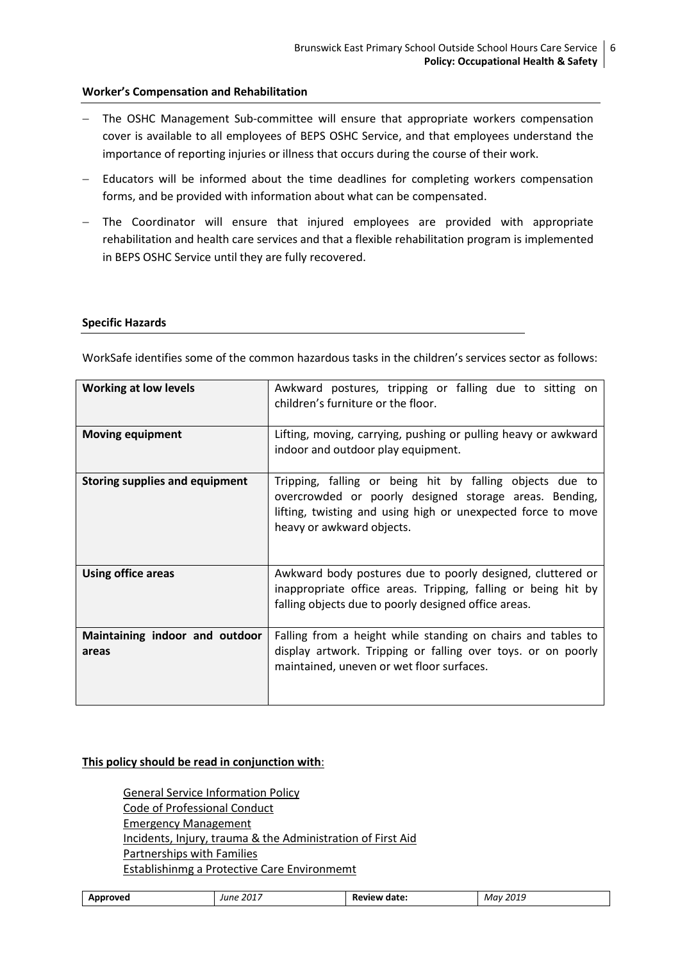#### **Worker's Compensation and Rehabilitation**

- The OSHC Management Sub-committee will ensure that appropriate workers compensation cover is available to all employees of BEPS OSHC Service, and that employees understand the importance of reporting injuries or illness that occurs during the course of their work.
- Educators will be informed about the time deadlines for completing workers compensation forms, and be provided with information about what can be compensated.
- The Coordinator will ensure that injured employees are provided with appropriate rehabilitation and health care services and that a flexible rehabilitation program is implemented in BEPS OSHC Service until they are fully recovered.

#### **Specific Hazards**

WorkSafe identifies some of the common hazardous tasks in the children's services sector as follows:

| <b>Working at low levels</b>            | Awkward postures, tripping or falling due to sitting on<br>children's furniture or the floor.                                                                                                                   |  |
|-----------------------------------------|-----------------------------------------------------------------------------------------------------------------------------------------------------------------------------------------------------------------|--|
| <b>Moving equipment</b>                 | Lifting, moving, carrying, pushing or pulling heavy or awkward<br>indoor and outdoor play equipment.                                                                                                            |  |
| <b>Storing supplies and equipment</b>   | Tripping, falling or being hit by falling objects due to<br>overcrowded or poorly designed storage areas. Bending,<br>lifting, twisting and using high or unexpected force to move<br>heavy or awkward objects. |  |
| <b>Using office areas</b>               | Awkward body postures due to poorly designed, cluttered or<br>inappropriate office areas. Tripping, falling or being hit by<br>falling objects due to poorly designed office areas.                             |  |
| Maintaining indoor and outdoor<br>areas | Falling from a height while standing on chairs and tables to<br>display artwork. Tripping or falling over toys. or on poorly<br>maintained, uneven or wet floor surfaces.                                       |  |

#### **This policy should be read in conjunction with**:

General Service Information Policy Code of Professional Conduct Emergency Management Incidents, Injury, trauma & the Administration of First Aid Partnerships with Families Establishinmg a Protective Care Environmemt